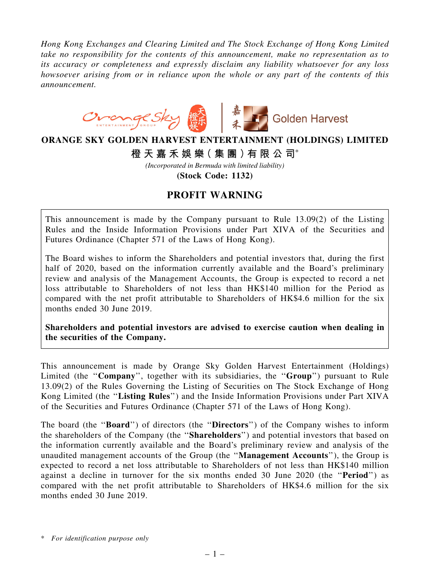*Hong Kong Exchanges and Clearing Limited and The Stock Exchange of Hong Kong Limited take no responsibility for the contents of this announcement, make no representation as to its accuracy or completeness and expressly disclaim any liability whatsoever for any loss howsoever arising from or in reliance upon the whole or any part of the contents of this announcement.*



## **ORANGE SKY GOLDEN HARVEST ENTERTAINMENT (HOLDINGS) LIMITED**

**橙 天 嘉 禾 娛 樂( 集 團 )有 限 公 司**\*

*(Incorporated in Bermuda with limited liability)*

**(Stock Code: 1132)**

## PROFIT WARNING

This announcement is made by the Company pursuant to Rule 13.09(2) of the Listing Rules and the Inside Information Provisions under Part XIVA of the Securities and Futures Ordinance (Chapter 571 of the Laws of Hong Kong).

The Board wishes to inform the Shareholders and potential investors that, during the first half of 2020, based on the information currently available and the Board's preliminary review and analysis of the Management Accounts, the Group is expected to record a net loss attributable to Shareholders of not less than HK\$140 million for the Period as compared with the net profit attributable to Shareholders of HK\$4.6 million for the six months ended 30 June 2019.

Shareholders and potential investors are advised to exercise caution when dealing in the securities of the Company.

This announcement is made by Orange Sky Golden Harvest Entertainment (Holdings) Limited (the "Company", together with its subsidiaries, the "Group") pursuant to Rule 13.09(2) of the Rules Governing the Listing of Securities on The Stock Exchange of Hong Kong Limited (the "Listing Rules") and the Inside Information Provisions under Part XIVA of the Securities and Futures Ordinance (Chapter 571 of the Laws of Hong Kong).

The board (the "**Board**") of directors (the "**Directors**") of the Company wishes to inform the shareholders of the Company (the ''Shareholders'') and potential investors that based on the information currently available and the Board's preliminary review and analysis of the unaudited management accounts of the Group (the ''Management Accounts''), the Group is expected to record a net loss attributable to Shareholders of not less than HK\$140 million against a decline in turnover for the six months ended 30 June 2020 (the ''Period'') as compared with the net profit attributable to Shareholders of HK\$4.6 million for the six months ended 30 June 2019.

\* *For identification purpose only*